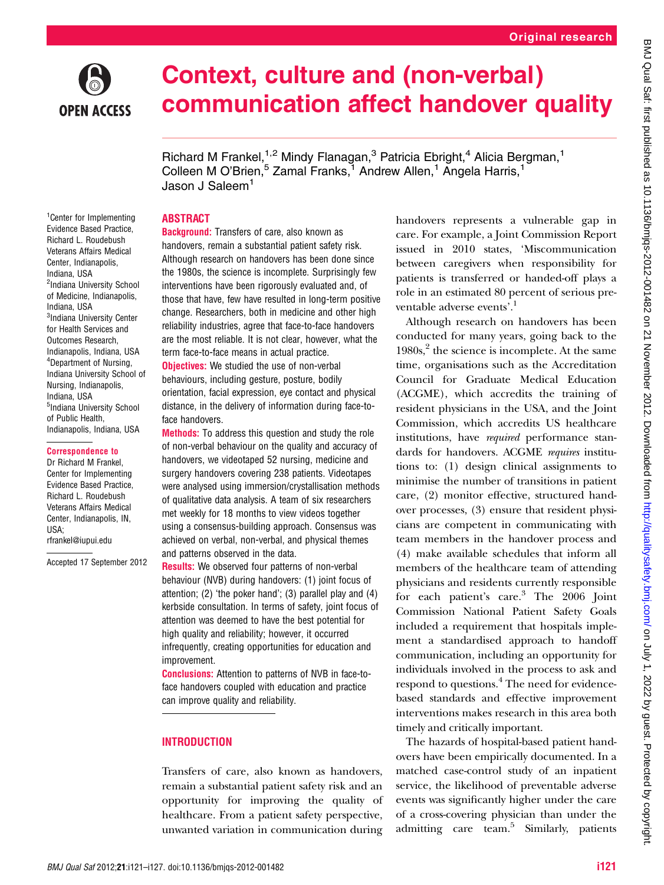

<sup>1</sup> Center for Implementing Evidence Based Practice, Richard L. Roudebush Veterans Affairs Medical Center, Indianapolis, Indiana, USA

<sup>2</sup>Indiana University School of Medicine, Indianapolis,

<sup>3</sup>Indiana University Center for Health Services and Outcomes Research, Indianapolis, Indiana, USA 4 Department of Nursing, Indiana University School of Nursing, Indianapolis, Indiana, USA

5 Indiana University School of Public Health, Indianapolis, Indiana, USA

Correspondence to Dr Richard M Frankel, Center for Implementing Evidence Based Practice, Richard L. Roudebush Veterans Affairs Medical Center, Indianapolis, IN,

rfrankel@iupui.edu

Accepted 17 September 2012

USA;

Indiana, USA

# Context, culture and (non-verbal) communication affect handover quality

Richard M Frankel,<sup>1,2</sup> Mindy Flanagan,<sup>3</sup> Patricia Ebright,<sup>4</sup> Alicia Bergman,<sup>1</sup> Colleen M O'Brien,<sup>5</sup> Zamal Franks,<sup>1</sup> Andrew Allen,<sup>1</sup> Angela Harris,<sup>1</sup> Jason J Saleem<sup>1</sup>

# ABSTRACT

Background: Transfers of care, also known as handovers, remain a substantial patient safety risk. Although research on handovers has been done since the 1980s, the science is incomplete. Surprisingly few interventions have been rigorously evaluated and, of those that have, few have resulted in long-term positive change. Researchers, both in medicine and other high reliability industries, agree that face-to-face handovers are the most reliable. It is not clear, however, what the term face-to-face means in actual practice.

**Objectives:** We studied the use of non-verbal behaviours, including gesture, posture, bodily orientation, facial expression, eye contact and physical distance, in the delivery of information during face-toface handovers.

Methods: To address this question and study the role of non-verbal behaviour on the quality and accuracy of handovers, we videotaped 52 nursing, medicine and surgery handovers covering 238 patients. Videotapes were analysed using immersion/crystallisation methods of qualitative data analysis. A team of six researchers met weekly for 18 months to view videos together using a consensus-building approach. Consensus was achieved on verbal, non-verbal, and physical themes and patterns observed in the data.

Results: We observed four patterns of non-verbal behaviour (NVB) during handovers: (1) joint focus of attention; (2) 'the poker hand'; (3) parallel play and (4) kerbside consultation. In terms of safety, joint focus of attention was deemed to have the best potential for high quality and reliability; however, it occurred infrequently, creating opportunities for education and improvement.

Conclusions: Attention to patterns of NVB in face-toface handovers coupled with education and practice can improve quality and reliability.

### **INTRODUCTION**

Transfers of care, also known as handovers, remain a substantial patient safety risk and an opportunity for improving the quality of healthcare. From a patient safety perspective, unwanted variation in communication during

handovers represents a vulnerable gap in care. For example, a Joint Commission Report issued in 2010 states, 'Miscommunication between caregivers when responsibility for patients is transferred or handed-off plays a role in an estimated 80 percent of serious preventable adverse events'. 1

Although research on handovers has been conducted for many years, going back to the  $1980s<sup>2</sup>$ , the science is incomplete. At the same time, organisations such as the Accreditation Council for Graduate Medical Education (ACGME), which accredits the training of resident physicians in the USA, and the Joint Commission, which accredits US healthcare institutions, have *required* performance standards for handovers. ACGME requires institutions to: (1) design clinical assignments to minimise the number of transitions in patient care, (2) monitor effective, structured handover processes, (3) ensure that resident physicians are competent in communicating with team members in the handover process and (4) make available schedules that inform all members of the healthcare team of attending physicians and residents currently responsible for each patient's care.<sup>3</sup> The 2006 Joint Commission National Patient Safety Goals included a requirement that hospitals implement a standardised approach to handoff communication, including an opportunity for individuals involved in the process to ask and respond to questions.<sup>4</sup> The need for evidencebased standards and effective improvement interventions makes research in this area both timely and critically important.

The hazards of hospital-based patient handovers have been empirically documented. In a matched case-control study of an inpatient service, the likelihood of preventable adverse events was significantly higher under the care of a cross-covering physician than under the admitting care team. $5$  Similarly, patients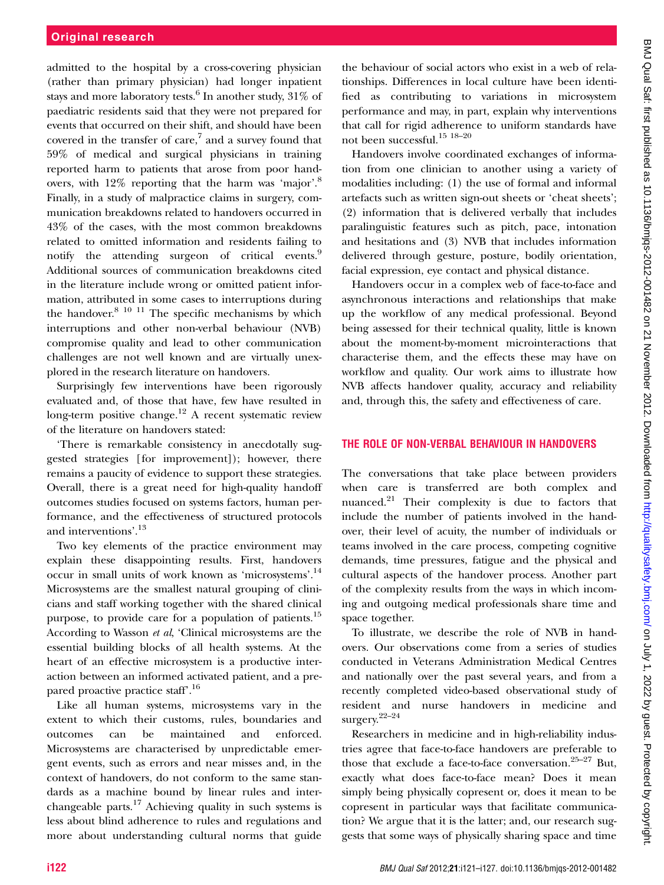admitted to the hospital by a cross-covering physician (rather than primary physician) had longer inpatient stays and more laboratory tests.<sup>6</sup> In another study,  $31\%$  of paediatric residents said that they were not prepared for events that occurred on their shift, and should have been covered in the transfer of care, $\frac{7}{1}$  and a survey found that 59% of medical and surgical physicians in training reported harm to patients that arose from poor handovers, with 12% reporting that the harm was 'major'.<sup>8</sup> Finally, in a study of malpractice claims in surgery, communication breakdowns related to handovers occurred in 43% of the cases, with the most common breakdowns related to omitted information and residents failing to notify the attending surgeon of critical events.<sup>9</sup> Additional sources of communication breakdowns cited in the literature include wrong or omitted patient information, attributed in some cases to interruptions during the handover. $8^{10}$  <sup>11</sup> The specific mechanisms by which interruptions and other non-verbal behaviour (NVB) compromise quality and lead to other communication challenges are not well known and are virtually unexplored in the research literature on handovers.

Surprisingly few interventions have been rigorously evaluated and, of those that have, few have resulted in long-term positive change.<sup>12</sup> A recent systematic review of the literature on handovers stated:

'There is remarkable consistency in anecdotally suggested strategies [for improvement]); however, there remains a paucity of evidence to support these strategies. Overall, there is a great need for high-quality handoff outcomes studies focused on systems factors, human performance, and the effectiveness of structured protocols and interventions'. 13

Two key elements of the practice environment may explain these disappointing results. First, handovers occur in small units of work known as 'microsystems'. 14 Microsystems are the smallest natural grouping of clinicians and staff working together with the shared clinical purpose, to provide care for a population of patients.<sup>15</sup> According to Wasson et al, 'Clinical microsystems are the essential building blocks of all health systems. At the heart of an effective microsystem is a productive interaction between an informed activated patient, and a prepared proactive practice staff'.<sup>16</sup>

Like all human systems, microsystems vary in the extent to which their customs, rules, boundaries and outcomes can be maintained and enforced. Microsystems are characterised by unpredictable emergent events, such as errors and near misses and, in the context of handovers, do not conform to the same standards as a machine bound by linear rules and interchangeable parts.<sup>17</sup> Achieving quality in such systems is less about blind adherence to rules and regulations and more about understanding cultural norms that guide

the behaviour of social actors who exist in a web of relationships. Differences in local culture have been identified as contributing to variations in microsystem performance and may, in part, explain why interventions that call for rigid adherence to uniform standards have not been successful.15 18–<sup>20</sup>

Handovers involve coordinated exchanges of information from one clinician to another using a variety of modalities including: (1) the use of formal and informal artefacts such as written sign-out sheets or 'cheat sheets'; (2) information that is delivered verbally that includes paralinguistic features such as pitch, pace, intonation and hesitations and (3) NVB that includes information delivered through gesture, posture, bodily orientation, facial expression, eye contact and physical distance.

Handovers occur in a complex web of face-to-face and asynchronous interactions and relationships that make up the workflow of any medical professional. Beyond being assessed for their technical quality, little is known about the moment-by-moment microinteractions that characterise them, and the effects these may have on workflow and quality. Our work aims to illustrate how NVB affects handover quality, accuracy and reliability and, through this, the safety and effectiveness of care.

# THE ROLE OF NON-VERBAL BEHAVIOUR IN HANDOVERS

The conversations that take place between providers when care is transferred are both complex and nuanced.<sup>21</sup> Their complexity is due to factors that include the number of patients involved in the handover, their level of acuity, the number of individuals or teams involved in the care process, competing cognitive demands, time pressures, fatigue and the physical and cultural aspects of the handover process. Another part of the complexity results from the ways in which incoming and outgoing medical professionals share time and space together.

To illustrate, we describe the role of NVB in handovers. Our observations come from a series of studies conducted in Veterans Administration Medical Centres and nationally over the past several years, and from a recently completed video-based observational study of resident and nurse handovers in medicine and surgery.22–<sup>24</sup>

Researchers in medicine and in high-reliability industries agree that face-to-face handovers are preferable to those that exclude a face-to-face conversation.<sup>25–27</sup> But, exactly what does face-to-face mean? Does it mean simply being physically copresent or, does it mean to be copresent in particular ways that facilitate communication? We argue that it is the latter; and, our research suggests that some ways of physically sharing space and time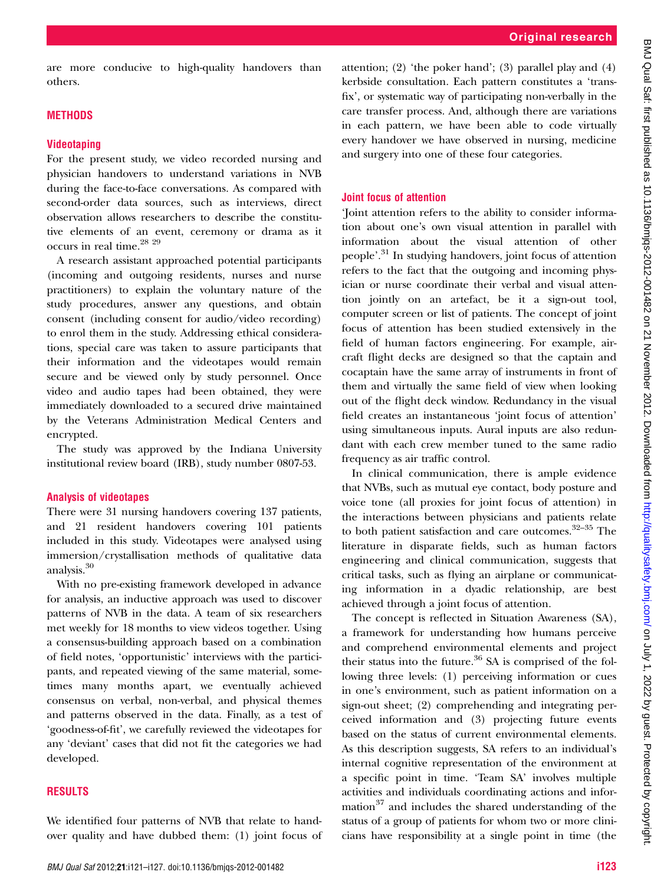are more conducive to high-quality handovers than others.

# **METHODS**

#### **Videotaping**

For the present study, we video recorded nursing and physician handovers to understand variations in NVB during the face-to-face conversations. As compared with second-order data sources, such as interviews, direct observation allows researchers to describe the constitutive elements of an event, ceremony or drama as it occurs in real time.28 29

A research assistant approached potential participants (incoming and outgoing residents, nurses and nurse practitioners) to explain the voluntary nature of the study procedures, answer any questions, and obtain consent (including consent for audio/video recording) to enrol them in the study. Addressing ethical considerations, special care was taken to assure participants that their information and the videotapes would remain secure and be viewed only by study personnel. Once video and audio tapes had been obtained, they were immediately downloaded to a secured drive maintained by the Veterans Administration Medical Centers and encrypted.

The study was approved by the Indiana University institutional review board (IRB), study number 0807-53.

#### Analysis of videotapes

There were 31 nursing handovers covering 137 patients, and 21 resident handovers covering 101 patients included in this study. Videotapes were analysed using immersion/crystallisation methods of qualitative data analysis.<sup>30</sup>

With no pre-existing framework developed in advance for analysis, an inductive approach was used to discover patterns of NVB in the data. A team of six researchers met weekly for 18 months to view videos together. Using a consensus-building approach based on a combination of field notes, 'opportunistic' interviews with the participants, and repeated viewing of the same material, sometimes many months apart, we eventually achieved consensus on verbal, non-verbal, and physical themes and patterns observed in the data. Finally, as a test of 'goodness-of-fit', we carefully reviewed the videotapes for any 'deviant' cases that did not fit the categories we had developed.

### RESULTS

We identified four patterns of NVB that relate to handover quality and have dubbed them: (1) joint focus of frequency as air traffic control. In clinical communication, there is ample evidence

that NVBs, such as mutual eye contact, body posture and voice tone (all proxies for joint focus of attention) in the interactions between physicians and patients relate to both patient satisfaction and care outcomes.<sup>32-35</sup> The literature in disparate fields, such as human factors engineering and clinical communication, suggests that critical tasks, such as flying an airplane or communicating information in a dyadic relationship, are best achieved through a joint focus of attention.

The concept is reflected in Situation Awareness (SA), a framework for understanding how humans perceive and comprehend environmental elements and project their status into the future. $36$  SA is comprised of the following three levels: (1) perceiving information or cues in one's environment, such as patient information on a sign-out sheet; (2) comprehending and integrating perceived information and (3) projecting future events based on the status of current environmental elements. As this description suggests, SA refers to an individual's internal cognitive representation of the environment at a specific point in time. 'Team SA' involves multiple activities and individuals coordinating actions and information $37$  and includes the shared understanding of the status of a group of patients for whom two or more clinicians have responsibility at a single point in time (the

attention;  $(2)$  'the poker hand';  $(3)$  parallel play and  $(4)$ kerbside consultation. Each pattern constitutes a 'transfix', or systematic way of participating non-verbally in the care transfer process. And, although there are variations in each pattern, we have been able to code virtually every handover we have observed in nursing, medicine and surgery into one of these four categories.

#### Joint focus of attention

'Joint attention refers to the ability to consider information about one's own visual attention in parallel with information about the visual attention of other people'. <sup>31</sup> In studying handovers, joint focus of attention refers to the fact that the outgoing and incoming physician or nurse coordinate their verbal and visual attention jointly on an artefact, be it a sign-out tool, computer screen or list of patients. The concept of joint focus of attention has been studied extensively in the field of human factors engineering. For example, aircraft flight decks are designed so that the captain and cocaptain have the same array of instruments in front of them and virtually the same field of view when looking out of the flight deck window. Redundancy in the visual field creates an instantaneous 'joint focus of attention' using simultaneous inputs. Aural inputs are also redundant with each crew member tuned to the same radio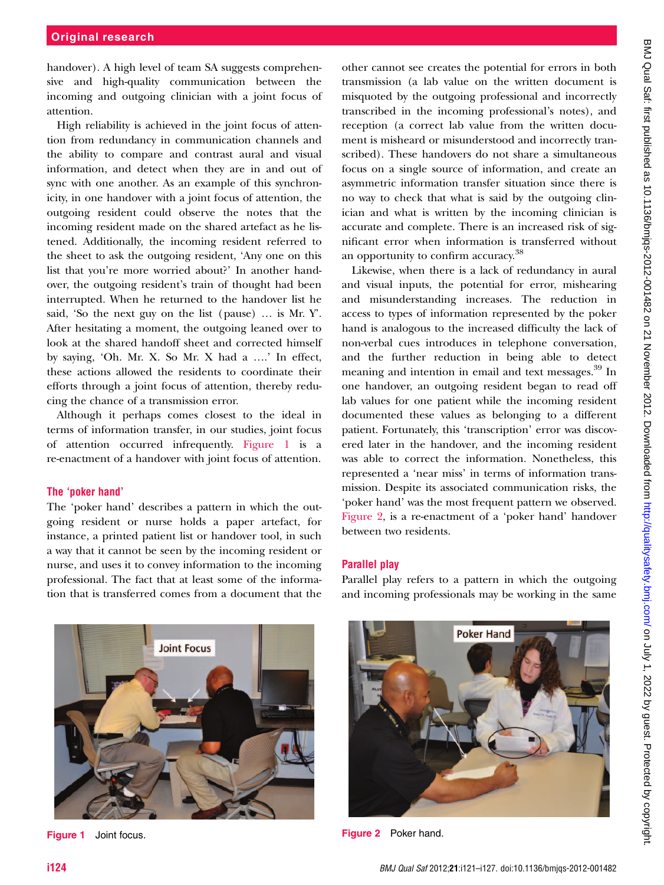handover). A high level of team SA suggests comprehensive and high-quality communication between the incoming and outgoing clinician with a joint focus of attention.

High reliability is achieved in the joint focus of attention from redundancy in communication channels and the ability to compare and contrast aural and visual information, and detect when they are in and out of sync with one another. As an example of this synchronicity, in one handover with a joint focus of attention, the outgoing resident could observe the notes that the incoming resident made on the shared artefact as he listened. Additionally, the incoming resident referred to the sheet to ask the outgoing resident, 'Any one on this list that you're more worried about?' In another handover, the outgoing resident's train of thought had been interrupted. When he returned to the handover list he said, 'So the next guy on the list (pause) … is Mr. Y'. After hesitating a moment, the outgoing leaned over to look at the shared handoff sheet and corrected himself by saying, 'Oh. Mr. X. So Mr. X had a ….' In effect, these actions allowed the residents to coordinate their efforts through a joint focus of attention, thereby reducing the chance of a transmission error.

Although it perhaps comes closest to the ideal in terms of information transfer, in our studies, joint focus of attention occurred infrequently. Figure 1 is a re-enactment of a handover with joint focus of attention.

#### The 'poker hand'

The 'poker hand' describes a pattern in which the outgoing resident or nurse holds a paper artefact, for instance, a printed patient list or handover tool, in such a way that it cannot be seen by the incoming resident or nurse, and uses it to convey information to the incoming professional. The fact that at least some of the information that is transferred comes from a document that the

other cannot see creates the potential for errors in both transmission (a lab value on the written document is misquoted by the outgoing professional and incorrectly transcribed in the incoming professional's notes), and reception (a correct lab value from the written document is misheard or misunderstood and incorrectly transcribed). These handovers do not share a simultaneous focus on a single source of information, and create an asymmetric information transfer situation since there is no way to check that what is said by the outgoing clinician and what is written by the incoming clinician is accurate and complete. There is an increased risk of significant error when information is transferred without an opportunity to confirm accuracy.<sup>38</sup>

Likewise, when there is a lack of redundancy in aural and visual inputs, the potential for error, mishearing and misunderstanding increases. The reduction in access to types of information represented by the poker hand is analogous to the increased difficulty the lack of non-verbal cues introduces in telephone conversation, and the further reduction in being able to detect meaning and intention in email and text messages.<sup>39</sup> In one handover, an outgoing resident began to read off lab values for one patient while the incoming resident documented these values as belonging to a different patient. Fortunately, this 'transcription' error was discovered later in the handover, and the incoming resident was able to correct the information. Nonetheless, this represented a 'near miss' in terms of information transmission. Despite its associated communication risks, the 'poker hand' was the most frequent pattern we observed. Figure 2, is a re-enactment of a 'poker hand' handover between two residents.

#### Parallel play

Parallel play refers to a pattern in which the outgoing and incoming professionals may be working in the same





Figure 1 Joint focus. The state of the state of the Figure 2 Poker hand.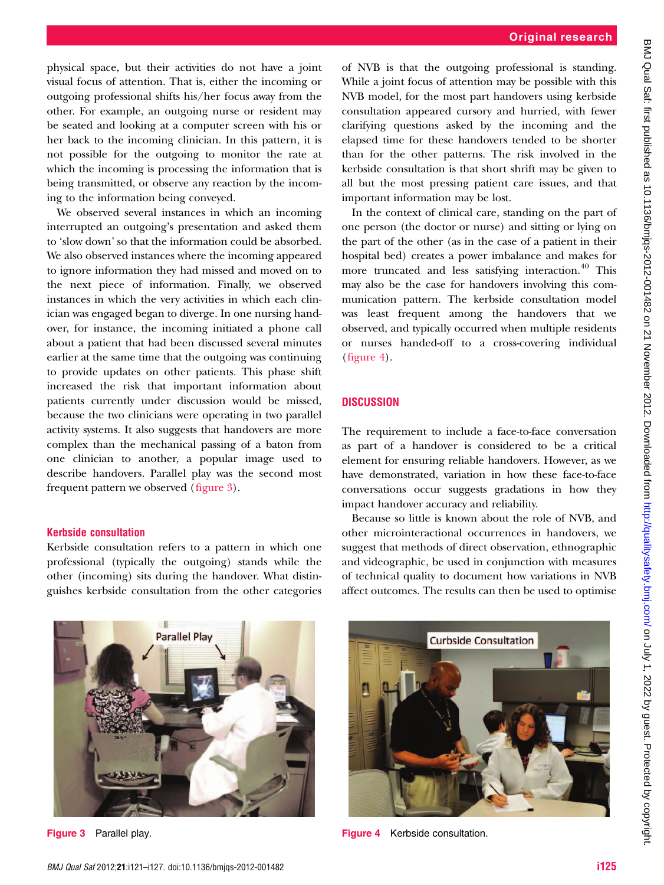physical space, but their activities do not have a joint visual focus of attention. That is, either the incoming or outgoing professional shifts his/her focus away from the other. For example, an outgoing nurse or resident may be seated and looking at a computer screen with his or her back to the incoming clinician. In this pattern, it is not possible for the outgoing to monitor the rate at which the incoming is processing the information that is being transmitted, or observe any reaction by the incoming to the information being conveyed.

We observed several instances in which an incoming interrupted an outgoing's presentation and asked them to 'slow down' so that the information could be absorbed. We also observed instances where the incoming appeared to ignore information they had missed and moved on to the next piece of information. Finally, we observed instances in which the very activities in which each clinician was engaged began to diverge. In one nursing handover, for instance, the incoming initiated a phone call about a patient that had been discussed several minutes earlier at the same time that the outgoing was continuing to provide updates on other patients. This phase shift increased the risk that important information about patients currently under discussion would be missed, because the two clinicians were operating in two parallel activity systems. It also suggests that handovers are more complex than the mechanical passing of a baton from one clinician to another, a popular image used to describe handovers. Parallel play was the second most frequent pattern we observed (figure 3).

## Kerbside consultation

Kerbside consultation refers to a pattern in which one professional (typically the outgoing) stands while the other (incoming) sits during the handover. What distinguishes kerbside consultation from the other categories of NVB is that the outgoing professional is standing. While a joint focus of attention may be possible with this NVB model, for the most part handovers using kerbside consultation appeared cursory and hurried, with fewer clarifying questions asked by the incoming and the elapsed time for these handovers tended to be shorter than for the other patterns. The risk involved in the kerbside consultation is that short shrift may be given to all but the most pressing patient care issues, and that important information may be lost.

In the context of clinical care, standing on the part of one person (the doctor or nurse) and sitting or lying on the part of the other (as in the case of a patient in their hospital bed) creates a power imbalance and makes for more truncated and less satisfying interaction.<sup>40</sup> This may also be the case for handovers involving this communication pattern. The kerbside consultation model was least frequent among the handovers that we observed, and typically occurred when multiple residents or nurses handed-off to a cross-covering individual (figure 4).

# **DISCUSSION**

The requirement to include a face-to-face conversation as part of a handover is considered to be a critical element for ensuring reliable handovers. However, as we have demonstrated, variation in how these face-to-face conversations occur suggests gradations in how they impact handover accuracy and reliability.

Because so little is known about the role of NVB, and other microinteractional occurrences in handovers, we suggest that methods of direct observation, ethnographic and videographic, be used in conjunction with measures of technical quality to document how variations in NVB affect outcomes. The results can then be used to optimise

H **Parallel Play** 



**Figure 3** Parallel play. The state of the state of the state of the state of the state of the state of the state of the state of the state of the state of the state of the state of the state of the state of the state of t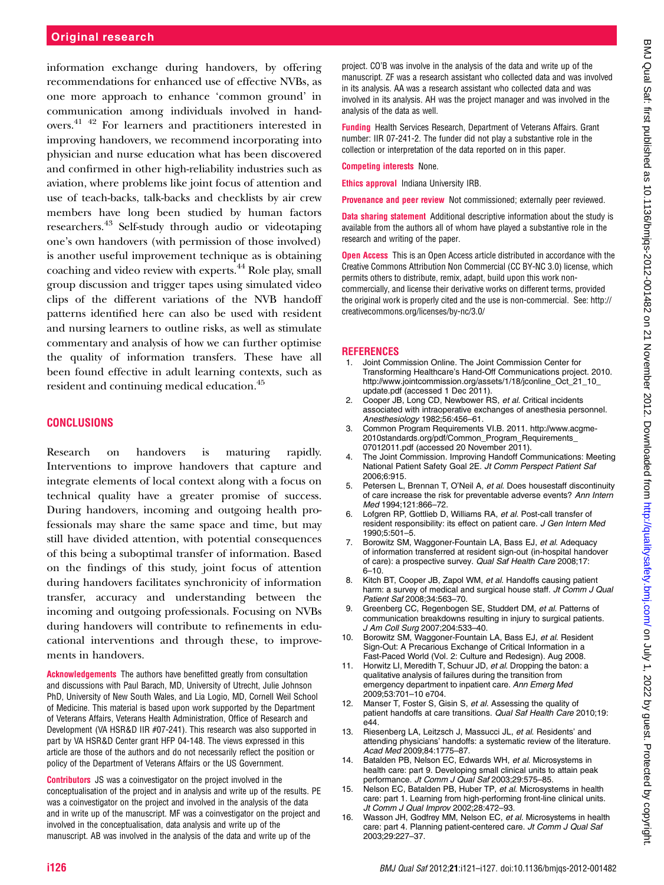# Original research

information exchange during handovers, by offering recommendations for enhanced use of effective NVBs, as one more approach to enhance 'common ground' in communication among individuals involved in handovers.41 42 For learners and practitioners interested in improving handovers, we recommend incorporating into physician and nurse education what has been discovered and confirmed in other high-reliability industries such as aviation, where problems like joint focus of attention and use of teach-backs, talk-backs and checklists by air crew members have long been studied by human factors researchers.<sup>43</sup> Self-study through audio or videotaping one's own handovers (with permission of those involved) is another useful improvement technique as is obtaining coaching and video review with experts.<sup>44</sup> Role play, small group discussion and trigger tapes using simulated video clips of the different variations of the NVB handoff patterns identified here can also be used with resident and nursing learners to outline risks, as well as stimulate commentary and analysis of how we can further optimise the quality of information transfers. These have all been found effective in adult learning contexts, such as resident and continuing medical education.<sup>45</sup>

#### **CONCLUSIONS**

Research on handovers is maturing rapidly. Interventions to improve handovers that capture and integrate elements of local context along with a focus on technical quality have a greater promise of success. During handovers, incoming and outgoing health professionals may share the same space and time, but may still have divided attention, with potential consequences of this being a suboptimal transfer of information. Based on the findings of this study, joint focus of attention during handovers facilitates synchronicity of information transfer, accuracy and understanding between the incoming and outgoing professionals. Focusing on NVBs during handovers will contribute to refinements in educational interventions and through these, to improvements in handovers.

Acknowledgements The authors have benefitted greatly from consultation and discussions with Paul Barach, MD, University of Utrecht, Julie Johnson PhD, University of New South Wales, and Lia Logio, MD, Cornell Weil School of Medicine. This material is based upon work supported by the Department of Veterans Affairs, Veterans Health Administration, Office of Research and Development (VA HSR&D IIR #07-241). This research was also supported in part by VA HSR&D Center grant HFP 04-148. The views expressed in this article are those of the authors and do not necessarily reflect the position or policy of the Department of Veterans Affairs or the US Government.

**Contributors** JS was a coinvestigator on the project involved in the conceptualisation of the project and in analysis and write up of the results. PE was a coinvestigator on the project and involved in the analysis of the data and in write up of the manuscript. MF was a coinvestigator on the project and involved in the conceptualisation, data analysis and write up of the manuscript. AB was involved in the analysis of the data and write up of the

project. CO'B was involve in the analysis of the data and write up of the manuscript. ZF was a research assistant who collected data and was involved in its analysis. AA was a research assistant who collected data and was involved in its analysis. AH was the project manager and was involved in the analysis of the data as well.

Funding Health Services Research, Department of Veterans Affairs. Grant number: IIR 07-241-2. The funder did not play a substantive role in the collection or interpretation of the data reported on in this paper.

Competing interests None.

Ethics approval Indiana University IRB.

Provenance and peer review Not commissioned; externally peer reviewed.

Data sharing statement Additional descriptive information about the study is available from the authors all of whom have played a substantive role in the research and writing of the paper.

**Open Access** This is an Open Access article distributed in accordance with the Creative Commons Attribution Non Commercial (CC BY-NC 3.0) license, which permits others to distribute, remix, adapt, build upon this work noncommercially, and license their derivative works on different terms, provided the original work is properly cited and the use is non-commercial. See: http:// creativecommons.org/licenses/by-nc/3.0/

#### **REFERENCES**

- 1. Joint Commission Online. The Joint Commission Center for Transforming Healthcare's Hand-Off Communications project. 2010. [http://www.jointcommission.org/assets/1/18/jconline\\_Oct\\_21\\_10\\_](http://www.jointcommission.org/assets/1/18/jconline_Oct_21_10_update.pdf) [update.pdf](http://www.jointcommission.org/assets/1/18/jconline_Oct_21_10_update.pdf) (accessed 1 Dec 2011).
- 2. Cooper JB, Long CD, Newbower RS, et al. Critical incidents associated with intraoperative exchanges of anesthesia personnel. Anesthesiology 1982;56:456–61.
- 3. Common Program Requirements VI.B. 2011. [http://www.acgme-](http://www.acgme-2010standards.org/pdf/Common_Program_Requirements_07012011.pdf)[2010standards.org/pdf/Common\\_Program\\_Requirements\\_](http://www.acgme-2010standards.org/pdf/Common_Program_Requirements_07012011.pdf) [07012011.pdf](http://www.acgme-2010standards.org/pdf/Common_Program_Requirements_07012011.pdf) (accessed 20 November 2011).
- The Joint Commission. Improving Handoff Communications: Meeting National Patient Safety Goal 2E. Jt Comm Perspect Patient Saf 2006;6:915.
- 5. Petersen L, Brennan T, O'Neil A, et al. Does housestaff discontinuity of care increase the risk for preventable adverse events? Ann Intern Med 1994;121:866–72.
- 6. Lofgren RP, Gottlieb D, Williams RA, et al. Post-call transfer of resident responsibility: its effect on patient care. J Gen Intern Med 1990;5:501–5.
- Borowitz SM, Waggoner-Fountain LA, Bass EJ, et al. Adequacy of information transferred at resident sign-out (in-hospital handover of care): a prospective survey. Qual Saf Health Care 2008;17: 6–10.
- 8. Kitch BT, Cooper JB, Zapol WM, et al. Handoffs causing patient harm: a survey of medical and surgical house staff. Jt Comm J Qual Patient Saf 2008;34:563–70.
- 9. Greenberg CC, Regenbogen SE, Studdert DM, et al. Patterns of communication breakdowns resulting in injury to surgical patients. J Am Coll Surg 2007;204:533–40.
- 10. Borowitz SM, Waggoner-Fountain LA, Bass EJ, et al. Resident Sign-Out: A Precarious Exchange of Critical Information in a Fast-Paced World (Vol. 2: Culture and Redesign). Aug 2008.
- 11. Horwitz LI, Meredith T, Schuur JD, et al. Dropping the baton: a qualitative analysis of failures during the transition from emergency department to inpatient care. Ann Emerg Med 2009;53:701–10 e704.
- 12. Manser T, Foster S, Gisin S, et al. Assessing the quality of patient handoffs at care transitions. Qual Saf Health Care 2010;19: e44.
- 13. Riesenberg LA, Leitzsch J, Massucci JL, et al. Residents' and attending physicians' handoffs: a systematic review of the literature. Acad Med 2009;84:1775–87.
- 14. Batalden PB, Nelson EC, Edwards WH, et al. Microsystems in health care: part 9. Developing small clinical units to attain peak performance. Jt Comm J Qual Saf 2003;29:575–85.
- 15. Nelson EC, Batalden PB, Huber TP, et al. Microsystems in health care: part 1. Learning from high-performing front-line clinical units. Jt Comm J Qual Improv 2002;28:472–93.
- 16. Wasson JH, Godfrey MM, Nelson EC, et al. Microsystems in health care: part 4. Planning patient-centered care. Jt Comm J Qual Saf 2003;29:227–37.